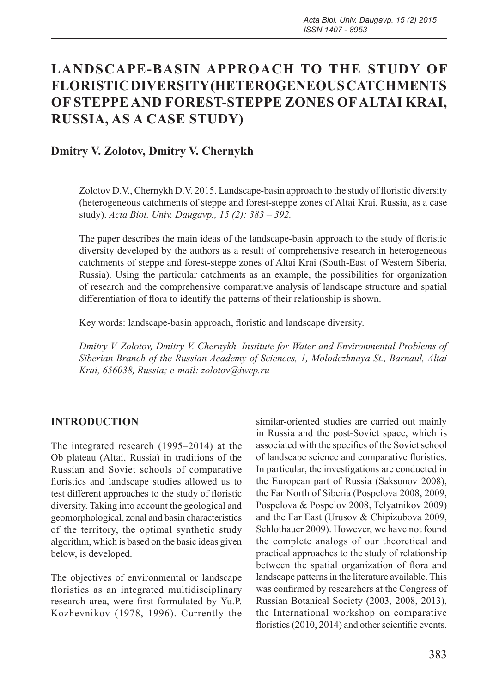# **LANDSCAPE-BASIN APPROACH TO THE STUDY OF FLORISTIC DIVERSITY (HETEROGENEOUS CATCHMENTS OF STEPPE AND FOREST-STEPPE ZONES OF ALTAI KRAI, RUSSIA, AS A CASE STUDY)**

# **Dmitry V. Zolotov, Dmitry V. Chernykh**

Zolotov D.V., Chernykh D.V. 2015. Landscape-basin approach to the study of floristic diversity (heterogeneous catchments of steppe and forest-steppe zones of Altai Krai, Russia, as a case study). *Acta Biol. Univ. Daugavp., 15 (2): 383 – 392.*

The paper describes the main ideas of the landscape-basin approach to the study of floristic diversity developed by the authors as a result of comprehensive research in heterogeneous catchments of steppe and forest-steppe zones of Altai Krai (South-East of Western Siberia, Russia). Using the particular catchments as an example, the possibilities for organization of research and the comprehensive comparative analysis of landscape structure and spatial differentiation of flora to identify the patterns of their relationship is shown.

Key words: landscape-basin approach, floristic and landscape diversity.

*Dmitry V. Zolotov, Dmitry V. Chernykh. Institute for Water and Environmental Problems of Siberian Branch of the Russian Academy of Sciences, 1, Molodezhnaya St., Barnaul, Altai Krai, 656038, Russia; e-mail: zolotov@iwep.ru*

#### **INTRODUCTION**

The integrated research (1995–2014) at the Ob plateau (Altai, Russia) in traditions of the Russian and Soviet schools of comparative floristics and landscape studies allowed us to test different approaches to the study of floristic diversity. Taking into account the geological and geomorphological, zonal and basin characteristics of the territory, the optimal synthetic study algorithm, which is based on the basic ideas given below, is developed.

The objectives of environmental or landscape floristics as an integrated multidisciplinary research area, were first formulated by Yu.P. Kozhevnikov (1978, 1996). Currently the

similar-oriented studies are carried out mainly in Russia and the post-Soviet space, which is associated with the specifics of the Soviet school of landscape science and comparative floristics. In particular, the investigations are conducted in the European part of Russia (Saksonov 2008), the Far North of Siberia (Pospelova 2008, 2009, Pospelova & Pospelov 2008, Telyatnikov 2009) and the Far East (Urusov & Chipizubova 2009, Schlothauer 2009). However, we have not found the complete analogs of our theoretical and practical approaches to the study of relationship between the spatial organization of flora and landscape patterns in the literature available. This was confirmed by researchers at the Congress of Russian Botanical Society (2003, 2008, 2013), the International workshop on comparative floristics (2010, 2014) and other scientific events.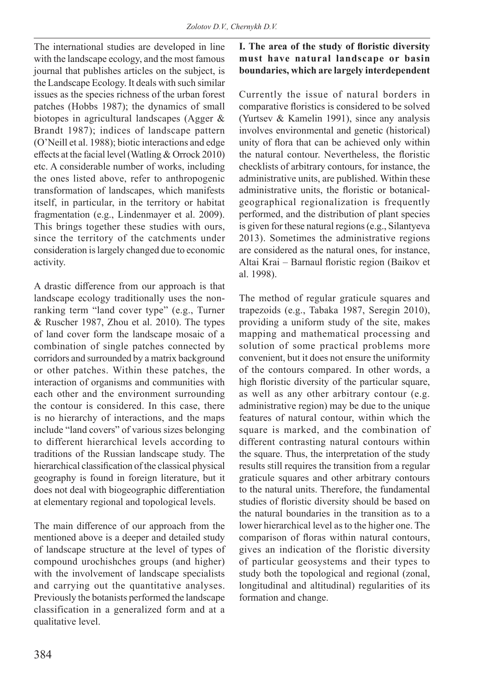The international studies are developed in line with the landscape ecology, and the most famous journal that publishes articles on the subject, is the Landscape Ecology. It deals with such similar issues as the species richness of the urban forest patches (Hobbs 1987); the dynamics of small biotopes in agricultural landscapes (Agger & Brandt 1987); indices of landscape pattern (O'Neill et al. 1988); biotic interactions and edge effects at the facial level (Watling & Orrock 2010) etc. A considerable number of works, including the ones listed above, refer to anthropogenic transformation of landscapes, which manifests itself, in particular, in the territory or habitat fragmentation (e.g., Lindenmayer et al. 2009). This brings together these studies with ours, since the territory of the catchments under consideration is largely changed due to economic activity.

A drastic difference from our approach is that landscape ecology traditionally uses the nonranking term "land cover type" (e.g., Turner & Ruscher 1987, Zhou et al. 2010). The types of land cover form the landscape mosaic of a combination of single patches connected by corridors and surrounded by a matrix background or other patches. Within these patches, the interaction of organisms and communities with each other and the environment surrounding the contour is considered. In this case, there is no hierarchy of interactions, and the maps include "land covers" of various sizes belonging to different hierarchical levels according to traditions of the Russian landscape study. The hierarchical classification of the classical physical geography is found in foreign literature, but it does not deal with biogeographic differentiation at elementary regional and topological levels.

The main difference of our approach from the mentioned above is a deeper and detailed study of landscape structure at the level of types of compound urochishches groups (and higher) with the involvement of landscape specialists and carrying out the quantitative analyses. Previously the botanists performed the landscape classification in a generalized form and at a qualitative level.

## **I. The area of the study of floristic diversity must have natural landscape or basin boundaries, which are largely interdependent**

Currently the issue of natural borders in comparative floristics is considered to be solved (Yurtsev & Kamelin 1991), since any analysis involves environmental and genetic (historical) unity of flora that can be achieved only within the natural contour. Nevertheless, the floristic checklists of arbitrary contours, for instance, the administrative units, are published. Within these administrative units, the floristic or botanicalgeographical regionalization is frequently performed, and the distribution of plant species is given for these natural regions (e.g., Silantyeva 2013). Sometimes the administrative regions are considered as the natural ones, for instance, Altai Krai – Barnaul floristic region (Baikov et al. 1998).

The method of regular graticule squares and trapezoids (e.g., Tabaka 1987, Seregin 2010), providing a uniform study of the site, makes mapping and mathematical processing and solution of some practical problems more convenient, but it does not ensure the uniformity of the contours compared. In other words, a high floristic diversity of the particular square, as well as any other arbitrary contour (e.g. administrative region) may be due to the unique features of natural contour, within which the square is marked, and the combination of different contrasting natural contours within the square. Thus, the interpretation of the study results still requires the transition from a regular graticule squares and other arbitrary contours to the natural units. Therefore, the fundamental studies of floristic diversity should be based on the natural boundaries in the transition as to a lower hierarchical level as to the higher one. The comparison of floras within natural contours, gives an indication of the floristic diversity of particular geosystems and their types to study both the topological and regional (zonal, longitudinal and altitudinal) regularities of its formation and change.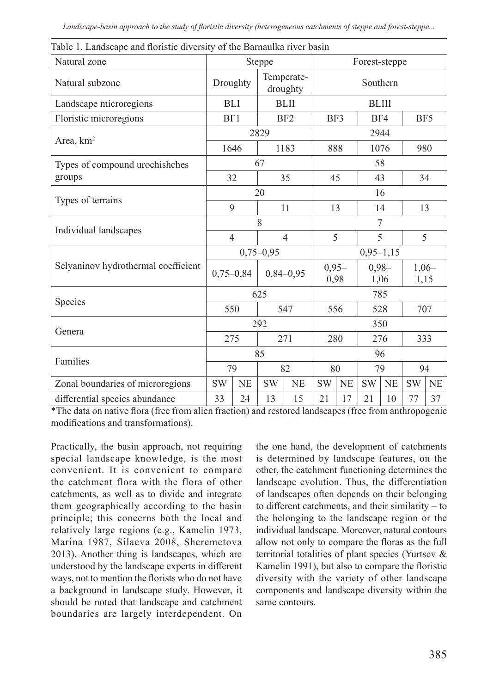*Landscape-basin approach to the study of floristic diversity (heterogeneous catchments of steppe and forest-steppe...*

| Natural zone                        |               |      | Steppe         |                        | Forest-steppe                                                                                                                                                                                                   |              |                       |      |         |    |  |
|-------------------------------------|---------------|------|----------------|------------------------|-----------------------------------------------------------------------------------------------------------------------------------------------------------------------------------------------------------------|--------------|-----------------------|------|---------|----|--|
| Natural subzone                     | Droughty      |      |                | Temperate-<br>droughty | Southern                                                                                                                                                                                                        |              |                       |      |         |    |  |
| Landscape microregions              | <b>BLI</b>    |      |                | <b>BLII</b>            |                                                                                                                                                                                                                 | <b>BLIII</b> |                       |      |         |    |  |
| Floristic microregions              | BF1           |      |                | BF <sub>2</sub>        |                                                                                                                                                                                                                 |              |                       |      | BF5     |    |  |
|                                     | 2829          |      |                |                        | 2944                                                                                                                                                                                                            |              |                       |      |         |    |  |
| Area, km <sup>2</sup>               |               | 1646 | 1183           |                        |                                                                                                                                                                                                                 |              |                       |      | 980     |    |  |
| Types of compound urochishches      |               |      | 67             |                        |                                                                                                                                                                                                                 |              | 58                    |      |         |    |  |
| groups                              |               | 32   |                | 35                     |                                                                                                                                                                                                                 |              |                       |      | 34      |    |  |
|                                     |               |      | 20             |                        | BF3<br>BF4<br>888<br>1076<br>45<br>43<br>16<br>13<br>14<br>7<br>5<br>5<br>$0,95-$<br>$0,98-$<br>0,98<br>1,06<br>785<br>556<br>528<br>350<br>280<br>276<br>96<br>80<br>79<br><b>SW</b><br><b>NE</b><br><b>SW</b> |              |                       |      |         |    |  |
| Types of terrains                   | 9             |      |                | 11                     |                                                                                                                                                                                                                 |              |                       |      | 13      |    |  |
| Individual landscapes               | 8             |      |                |                        |                                                                                                                                                                                                                 |              |                       |      |         |    |  |
|                                     | 4             |      | $\overline{4}$ |                        |                                                                                                                                                                                                                 |              |                       |      | 5       |    |  |
|                                     |               |      | $0,75 - 0,95$  |                        |                                                                                                                                                                                                                 | $0,95-1,15$  |                       |      |         |    |  |
| Selyaninov hydrothermal coefficient | $0,75 - 0,84$ |      | $0,84 - 0,95$  |                        |                                                                                                                                                                                                                 |              |                       |      | $1,06-$ |    |  |
|                                     |               |      |                |                        |                                                                                                                                                                                                                 |              | <b>NE</b><br>21<br>10 | 1,15 |         |    |  |
| Species                             |               |      | 625            |                        |                                                                                                                                                                                                                 | 17           |                       |      |         |    |  |
|                                     |               | 550  |                | 547                    |                                                                                                                                                                                                                 |              |                       |      | 707     |    |  |
|                                     | 292           |      |                |                        |                                                                                                                                                                                                                 |              |                       |      |         |    |  |
| Genera                              | 275           |      | 271            |                        |                                                                                                                                                                                                                 |              |                       |      | 333     |    |  |
|                                     | 85            |      |                |                        |                                                                                                                                                                                                                 |              |                       |      |         |    |  |
| Families                            |               | 79   |                | 82                     |                                                                                                                                                                                                                 |              |                       |      |         | 94 |  |
| Zonal boundaries of microregions    | <b>SW</b>     | NE   | <b>SW</b>      | <b>NE</b>              |                                                                                                                                                                                                                 |              |                       |      | SW      | NE |  |
| differential species abundance      | 33            | 24   | 13             | 15                     | 21                                                                                                                                                                                                              |              |                       |      | 77      | 37 |  |

| Table 1. Landscape and floristic diversity of the Barnaulka river basin |  |  |
|-------------------------------------------------------------------------|--|--|
|                                                                         |  |  |

\*The data on native flora (free from alien fraction) and restored landscapes (free from anthropogenic modifications and transformations).

Practically, the basin approach, not requiring special landscape knowledge, is the most convenient. It is convenient to compare the catchment flora with the flora of other catchments, as well as to divide and integrate them geographically according to the basin principle; this concerns both the local and relatively large regions (e.g., Kamelin 1973, Marina 1987, Silaeva 2008, Sheremetova 2013). Another thing is landscapes, which are understood by the landscape experts in different ways, not to mention the florists who do not have a background in landscape study. However, it should be noted that landscape and catchment boundaries are largely interdependent. On

the one hand, the development of catchments is determined by landscape features, on the other, the catchment functioning determines the landscape evolution. Thus, the differentiation of landscapes often depends on their belonging to different catchments, and their similarity – to the belonging to the landscape region or the individual landscape. Moreover, natural contours allow not only to compare the floras as the full territorial totalities of plant species (Yurtsev & Kamelin 1991), but also to compare the floristic diversity with the variety of other landscape components and landscape diversity within the same contours.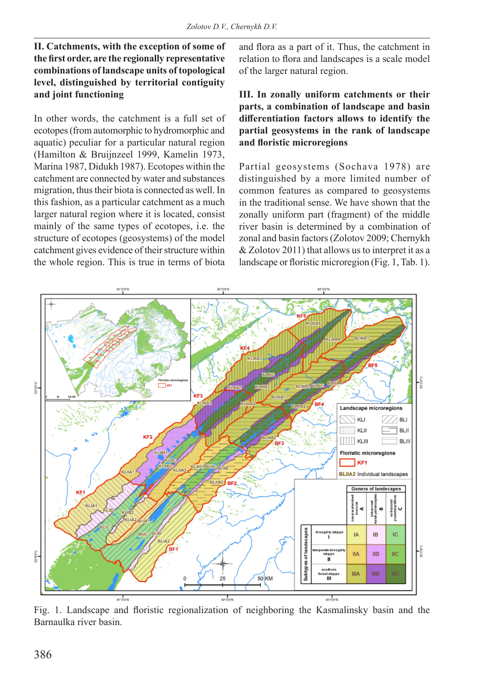## **II. Catchments, with the exception of some of the first order, are the regionally representative combinations of landscape units of topological level, distinguished by territorial contiguity and joint functioning**

In other words, the catchment is a full set of ecotopes (from automorphic to hydromorphic and aquatic) peculiar for a particular natural region (Hamilton & Bruijnzeel 1999, Kamelin 1973, Marina 1987, Didukh 1987). Ecotopes within the catchment are connected by water and substances migration, thus their biota is connected as well. In this fashion, as a particular catchment as a much larger natural region where it is located, consist mainly of the same types of ecotopes, i.e. the structure of ecotopes (geosystems) of the model catchment gives evidence of their structure within the whole region. This is true in terms of biota

and flora as a part of it. Thus, the catchment in relation to flora and landscapes is a scale model of the larger natural region.

### **III. In zonally uniform catchments or their parts, a combination of landscape and basin differentiation factors allows to identify the partial geosystems in the rank of landscape and floristic microregions**

Partial geosystems (Sochava 1978) are distinguished by a more limited number of common features as compared to geosystems in the traditional sense. We have shown that the zonally uniform part (fragment) of the middle river basin is determined by a combination of zonal and basin factors (Zolotov 2009; Chernykh & Zolotov 2011) that allows us to interpret it as a landscape or floristic microregion (Fig. 1, Tab. 1).



Fig. 1. Landscape and floristic regionalization of neighboring the Kasmalinsky basin and the Barnaulka river basin.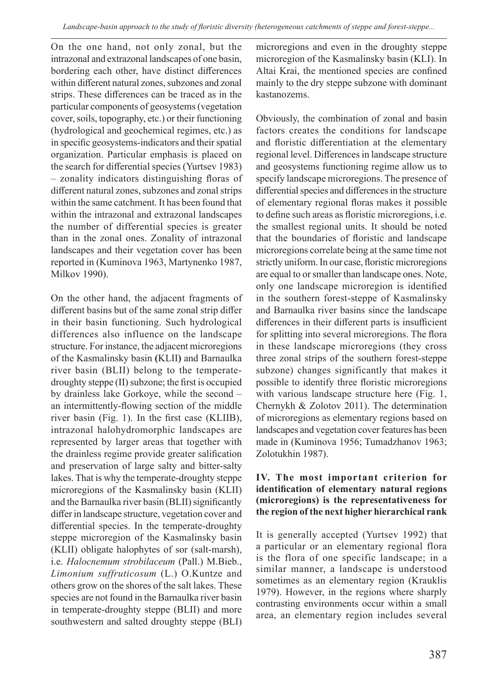On the one hand, not only zonal, but the intrazonal and extrazonal landscapes of one basin, bordering each other, have distinct differences within different natural zones, subzones and zonal strips. These differences can be traced as in the particular components of geosystems (vegetation cover, soils, topography, etc.) or their functioning (hydrological and geochemical regimes, etc.) as in specific geosystems-indicators and their spatial organization. Particular emphasis is placed on the search for differential species (Yurtsev 1983) – zonality indicators distinguishing floras of different natural zones, subzones and zonal strips within the same catchment. It has been found that within the intrazonal and extrazonal landscapes the number of differential species is greater than in the zonal ones. Zonality of intrazonal landscapes and their vegetation cover has been reported in (Kuminova 1963, Martynenko 1987, Milkov 1990).

On the other hand, the adjacent fragments of different basins but of the same zonal strip differ in their basin functioning. Such hydrological differences also influence on the landscape structure. For instance, the adjacent microregions of the Kasmalinsky basin **(**KLII**)** and Barnaulka river basin (BLII) belong to the temperatedroughty steppe (II) subzone; the first is occupied by drainless lake Gorkoye, while the second – an intermittently-flowing section of the middle river basin (Fig. 1). In the first case (KLIIB), intrazonal halohydromorphic landscapes are represented by larger areas that together with the drainless regime provide greater salification and preservation of large salty and bitter-salty lakes. That is why the temperate-droughty steppe microregions of the Kasmalinsky basin (KLII) and the Barnaulka river basin (BLII) significantly differ in landscape structure, vegetation cover and differential species. In the temperate-droughty steppe microregion of the Kasmalinsky basin (KLII) obligate halophytes of sor (salt-marsh), i.e. *Halocnemum strobilaceum* (Pall.) M.Bieb., *Limonium suffruticosum* (L.) O.Kuntze and others grow on the shores of the salt lakes. These species are not found in the Barnaulka river basin in temperate-droughty steppe (BLII) and more southwestern and salted droughty steppe (BLI)

microregions and even in the droughty steppe microregion of the Kasmalinsky basin (KLI). In Altai Krai, the mentioned species are confined mainly to the dry steppe subzone with dominant kastanozems.

Obviously, the combination of zonal and basin factors creates the conditions for landscape and floristic differentiation at the elementary regional level. Differences in landscape structure and geosystems functioning regime allow us to specify landscape microregions. The presence of differential species and differences in the structure of elementary regional floras makes it possible to define such areas as floristic microregions, i.e. the smallest regional units. It should be noted that the boundaries of floristic and landscape microregions correlate being at the same time not strictly uniform. In our case, floristic microregions are equal to or smaller than landscape ones. Note, only one landscape microregion is identified in the southern forest-steppe of Kasmalinsky and Barnaulka river basins since the landscape differences in their different parts is insufficient for splitting into several microregions. The flora in these landscape microregions (they cross three zonal strips of the southern forest-steppe subzone) changes significantly that makes it possible to identify three floristic microregions with various landscape structure here (Fig. 1, Chernykh & Zolotov 2011). The determination of microregions as elementary regions based on landscapes and vegetation cover features has been made in (Kuminova 1956; Tumadzhanov 1963; Zolotukhin 1987).

### **IV. The most important criterion for identification of elementary natural regions (microregions) is the representativeness for the region of the next higher hierarchical rank**

It is generally accepted (Yurtsev 1992) that a particular or an elementary regional flora is the flora of one specific landscape; in a similar manner, a landscape is understood sometimes as an elementary region (Krauklis 1979). However, in the regions where sharply contrasting environments occur within a small area, an elementary region includes several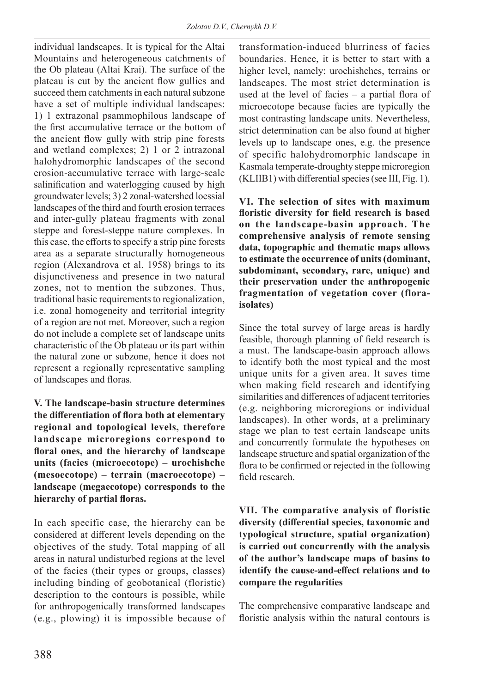individual landscapes. It is typical for the Altai Mountains and heterogeneous catchments of the Ob plateau (Altai Krai). The surface of the plateau is cut by the ancient flow gullies and succeed them catchments in each natural subzone have a set of multiple individual landscapes: 1) 1 extrazonal psammophilous landscape of the first accumulative terrace or the bottom of the ancient flow gully with strip pine forests and wetland complexes; 2) 1 or 2 intrazonal halohydromorphic landscapes of the second erosion-accumulative terrace with large-scale salinification and waterlogging caused by high groundwater levels; 3) 2 zonal-watershed loessial landscapes of the third and fourth erosion terraces and inter-gully plateau fragments with zonal steppe and forest-steppe nature complexes. In this case, the efforts to specify a strip pine forests area as a separate structurally homogeneous region (Alexandrova et al. 1958) brings to its disjunctiveness and presence in two natural zones, not to mention the subzones. Thus, traditional basic requirements to regionalization, i.e. zonal homogeneity and territorial integrity of a region are not met. Moreover, such a region do not include a complete set of landscape units characteristic of the Ob plateau or its part within the natural zone or subzone, hence it does not represent a regionally representative sampling of landscapes and floras.

**V. The landscape-basin structure determines the differentiation of flora both at elementary regional and topological levels, therefore landscape microregions correspond to floral ones, and the hierarchy of landscape units (facies (microecotope) – urochishche (mesoecotope) – terrain (macroecotope) – landscape (megaecotope) corresponds to the hierarchy of partial floras.**

In each specific case, the hierarchy can be considered at different levels depending on the objectives of the study. Total mapping of all areas in natural undisturbed regions at the level of the facies (their types or groups, classes) including binding of geobotanical (floristic) description to the contours is possible, while for anthropogenically transformed landscapes (e.g., plowing) it is impossible because of transformation-induced blurriness of facies boundaries. Hence, it is better to start with a higher level, namely: urochishches, terrains or landscapes. The most strict determination is used at the level of facies – a partial flora of microecotope because facies are typically the most contrasting landscape units. Nevertheless, strict determination can be also found at higher levels up to landscape ones, e.g. the presence of specific halohydromorphic landscape in Kasmala temperate-droughty steppe microregion (KLIIB1) with differential species (see III, Fig. 1).

**VI. The selection of sites with maximum floristic diversity for field research is based on the landscape-basin approach. The comprehensive analysis of remote sensing data, topographic and thematic maps allows to estimate the occurrence of units (dominant, subdominant, secondary, rare, unique) and their preservation under the anthropogenic fragmentation of vegetation cover (floraisolates)**

Since the total survey of large areas is hardly feasible, thorough planning of field research is a must. The landscape-basin approach allows to identify both the most typical and the most unique units for a given area. It saves time when making field research and identifying similarities and differences of adjacent territories (e.g. neighboring microregions or individual landscapes). In other words, at a preliminary stage we plan to test certain landscape units and concurrently formulate the hypotheses on landscape structure and spatial organization of the flora to be confirmed or rejected in the following field research.

**VII. The comparative analysis of floristic diversity (differential species, taxonomic and typological structure, spatial organization) is carried out concurrently with the analysis of the author's landscape maps of basins to identify the cause-and-effect relations and to compare the regularities**

The comprehensive comparative landscape and floristic analysis within the natural contours is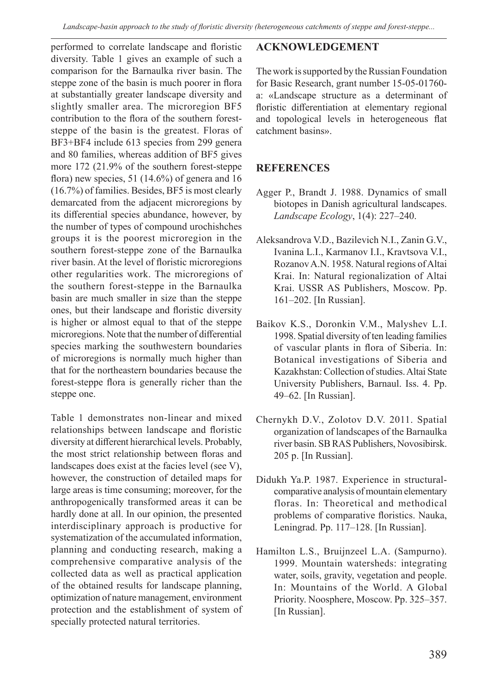performed to correlate landscape and floristic diversity. Table 1 gives an example of such a comparison for the Barnaulka river basin. The steppe zone of the basin is much poorer in flora at substantially greater landscape diversity and slightly smaller area. The microregion BF5 contribution to the flora of the southern foreststeppe of the basin is the greatest. Floras of BF3+BF4 include 613 species from 299 genera and 80 families, whereas addition of BF5 gives more 172 (21.9% of the southern forest-steppe flora) new species, 51 (14.6%) of genera and 16 (16.7%) of families. Besides, BF5 is most clearly demarcated from the adjacent microregions by its differential species abundance, however, by the number of types of compound urochishches groups it is the poorest microregion in the southern forest-steppe zone of the Barnaulka river basin. At the level of floristic microregions other regularities work. The microregions of the southern forest-steppe in the Barnaulka basin are much smaller in size than the steppe ones, but their landscape and floristic diversity is higher or almost equal to that of the steppe microregions. Note that the number of differential species marking the southwestern boundaries of microregions is normally much higher than that for the northeastern boundaries because the forest-steppe flora is generally richer than the steppe one.

Table 1 demonstrates non-linear and mixed relationships between landscape and floristic diversity at different hierarchical levels. Probably, the most strict relationship between floras and landscapes does exist at the facies level (see V), however, the construction of detailed maps for large areas is time consuming; moreover, for the anthropogenically transformed areas it can be hardly done at all. In our opinion, the presented interdisciplinary approach is productive for systematization of the accumulated information, planning and conducting research, making a comprehensive comparative analysis of the collected data as well as practical application of the obtained results for landscape planning, optimization of nature management, environment protection and the establishment of system of specially protected natural territories.

## **ACKNOWLEDGEMENT**

The work is supported by the Russian Foundation for Basic Research, grant number 15-05-01760 а: «Landscape structure as a determinant of floristic differentiation at elementary regional and topological levels in heterogeneous flat catchment basins».

# **REFERENCES**

- Agger P., Brandt J. 1988. Dynamics of small biotopes in Danish agricultural landscapes. *Landscape Ecology*, 1(4): 227–240.
- Aleksandrova V.D., Bazilevich N.I., Zanin G.V., Ivanina L.I., Karmanov I.I., Kravtsova V.I., Rozanov A.N. 1958. Natural regions of Altai Krai. In: Natural regionalization of Altai Krai. USSR AS Publishers, Moscow. Pp. 161–202. [In Russian].
- Baikov K.S., Doronkin V.M., Malyshev L.I. 1998. Spatial diversity of ten leading families of vascular plants in flora of Siberia. In: Botanical investigations of Siberia and Kazakhstan: Collection of studies. Altai State University Publishers, Barnaul. Iss. 4. Pp. 49–62. [In Russian].
- Chernykh D.V., Zolotov D.V. 2011. Spatial organization of landscapes of the Barnaulka river basin. SB RAS Publishers, Novosibirsk. 205 p. [In Russian].
- Didukh Ya.P. 1987. Experience in structuralcomparative analysis of mountain elementary floras. In: Theoretical and methodical problems of comparative floristics. Nauka, Leningrad. Pp. 117–128. [In Russian].
- Hamilton L.S., Bruijnzeel L.A. (Sampurno). 1999. Mountain watersheds: integrating water, soils, gravity, vegetation and people. In: Mountains of the World. A Global Priority. Noosphere, Moscow. Pp. 325–357. [In Russian].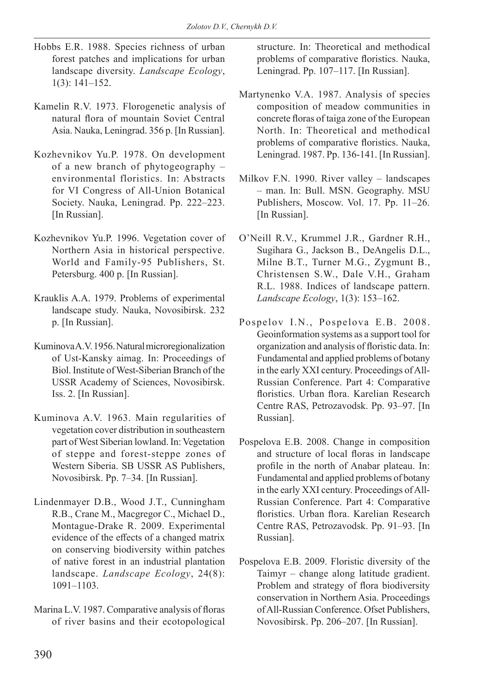- Hobbs E.R. 1988. Species richness of urban forest patches and implications for urban landscape diversity. *Landscape Ecology*, 1(3): 141–152.
- Kamelin R.V. 1973. Florogenetic analysis of natural flora of mountain Soviet Central Asia. Nauka, Leningrad. 356 p. [In Russian].
- Kozhevnikov Yu.P. 1978. On development of a new branch of phytogeography – environmental floristics. In: Abstracts for VI Congress of All-Union Botanical Society. Nauka, Leningrad. Pp. 222–223. [In Russian].
- Kozhevnikov Yu.P. 1996. Vegetation cover of Northern Asia in historical perspective. World and Family-95 Publishers, St. Petersburg. 400 p. [In Russian].
- Krauklis A.A. 1979. Problems of experimental landscape study. Nauka, Novosibirsk. 232 p. [In Russian].
- Kuminova A.V. 1956. Natural microregionalization of Ust-Kansky aimag. In: Proceedings of Biol. Institute of West-Siberian Branch of the USSR Academy of Sciences, Novosibirsk. Iss. 2. [In Russian].
- Kuminova A.V. 1963. Main regularities of vegetation cover distribution in southeastern part of West Siberian lowland. In: Vegetation of steppe and forest-steppe zones of Western Siberia. SB USSR AS Publishers, Novosibirsk. Pp. 7–34. [In Russian].
- Lindenmayer D.B., Wood J.T., Cunningham R.B., Crane M., Macgregor C., Michael D., Montague-Drake R. 2009. Experimental evidence of the effects of a changed matrix on conserving biodiversity within patches of native forest in an industrial plantation landscape. *Landscape Ecology*, 24(8): 1091–1103.
- Marina L.V. 1987. Comparative analysis of floras of river basins and their ecotopological

structure. In: Theoretical and methodical problems of comparative floristics. Nauka, Leningrad. Pp. 107–117. [In Russian].

- Martynenko V.A. 1987. Analysis of species composition of meadow communities in concrete floras of taiga zone of the European North. In: Theoretical and methodical problems of comparative floristics. Nauka, Leningrad. 1987. Pp. 136-141. [In Russian].
- Milkov F.N. 1990. River valley landscapes – man. In: Bull. MSN. Geography. MSU Publishers, Moscow. Vol. 17. Pp. 11–26. [In Russian].
- O'Neill R.V., Krummel J.R., Gardner R.H., Sugihara G., Jackson B., DeAngelis D.L., Milne B.T., Turner M.G., Zygmunt B., Christensen S.W., Dale V.H., Graham R.L. 1988. Indices of landscape pattern. *Landscape Ecology*, 1(3): 153–162.
- Pospelov I.N., Pospelova E.B. 2008. Geoinformation systems as a support tool for organization and analysis of floristic data. In: Fundamental and applied problems of botany in the early XXI century. Proceedings of All-Russian Conference. Part 4: Comparative floristics. Urban flora. Karelian Research Centre RAS, Petrozavodsk. Pp. 93–97. [In Russian].
- Pospelova E.B. 2008. Change in composition and structure of local floras in landscape profile in the north of Anabar plateau. In: Fundamental and applied problems of botany in the early XXI century. Proceedings of All-Russian Conference. Part 4: Comparative floristics. Urban flora. Karelian Research Centre RAS, Petrozavodsk. Pp. 91–93. [In Russian].
- Pospelova E.B. 2009. Floristic diversity of the Taimyr – change along latitude gradient. Problem and strategy of flora biodiversity conservation in Northern Asia. Proceedings of All-Russian Conference. Ofset Publishers, Novosibirsk. Pp. 206–207. [In Russian].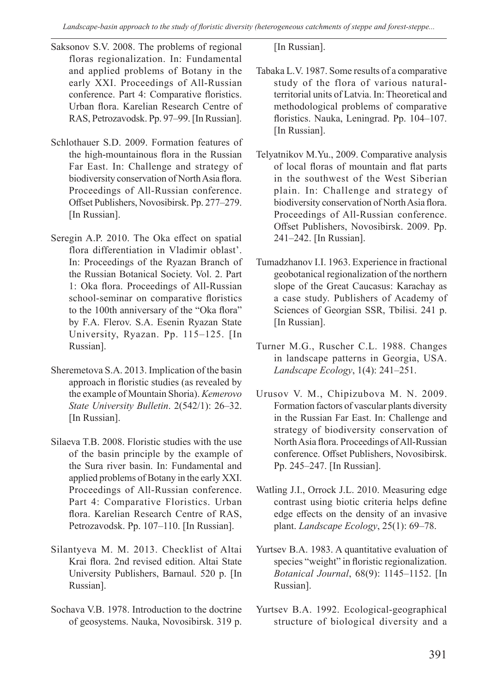*Landscape-basin approach to the study of floristic diversity (heterogeneous catchments of steppe and forest-steppe...*

- Saksonov S.V. 2008. The problems of regional floras regionalization. In: Fundamental and applied problems of Botany in the early XXI. Proceedings of All-Russian conference. Part 4: Comparative floristics. Urban flora. Karelian Research Centre of RAS, Petrozavodsk. Pp. 97–99. [In Russian].
- Schlothauer S.D. 2009. Formation features of the high-mountainous flora in the Russian Far East. In: Challenge and strategy of biodiversity conservation of North Asia flora. Proceedings of All-Russian conference. Offset Publishers, Novosibirsk. Pp. 277–279. [In Russian].
- Seregin A.P. 2010. The Oka effect on spatial flora differentiation in Vladimir oblast'. In: Proceedings of the Ryazan Branch of the Russian Botanical Society. Vol. 2. Part 1: Oka flora. Proceedings of All-Russian school-seminar on comparative floristics to the 100th anniversary of the "Oka flora" by F.A. Flerov. S.A. Esenin Ryazan State University, Ryazan. Pp. 115–125. [In Russian].
- Sheremetova S.A. 2013. Implication of the basin approach in floristic studies (as revealed by the example of Mountain Shoria). *Kemerovo State University Bulletin*. 2(542/1): 26–32. [In Russian].
- Silaeva T.B. 2008. Floristic studies with the use of the basin principle by the example of the Sura river basin. In: Fundamental and applied problems of Botany in the early XXI. Proceedings of All-Russian conference. Part 4: Comparative Floristics. Urban flora. Karelian Research Centre of RAS, Petrozavodsk. Pp. 107–110. [In Russian].
- Silantyeva M. M. 2013. Checklist of Altai Krai flora. 2nd revised edition. Altai State University Publishers, Barnaul. 520 p. [In Russian].
- Sochava V.B. 1978. Introduction to the doctrine of geosystems. Nauka, Novosibirsk. 319 p.

[In Russian].

- Tabaka L.V. 1987. Some results of a comparative study of the flora of various naturalterritorial units of Latvia. In: Theoretical and methodological problems of comparative floristics. Nauka, Leningrad. Pp. 104–107. [In Russian].
- Telyatnikov M.Yu., 2009. Comparative analysis of local floras of mountain and flat parts in the southwest of the West Siberian plain. In: Challenge and strategy of biodiversity conservation of North Asia flora. Proceedings of All-Russian conference. Offset Publishers, Novosibirsk. 2009. Pp. 241–242. [In Russian].
- Tumadzhanov I.I. 1963. Experience in fractional geobotanical regionalization of the northern slope of the Great Caucasus: Karachay as a case study. Publishers of Academy of Sciences of Georgian SSR, Tbilisi. 241 p. [In Russian].
- Turner M.G., Ruscher C.L. 1988. Changes in landscape patterns in Georgia, USA. *Landscape Ecology*, 1(4): 241–251.
- Urusov V. M., Chipizubova M. N. 2009. Formation factors of vascular plants diversity in the Russian Far East. In: Challenge and strategy of biodiversity conservation of North Asia flora. Proceedings of All-Russian conference. Offset Publishers, Novosibirsk. Pp. 245–247. [In Russian].
- Watling J.I., Orrock J.L. 2010. Measuring edge contrast using biotic criteria helps define edge effects on the density of an invasive plant. *Landscape Ecology*, 25(1): 69–78.
- Yurtsev B.A. 1983. A quantitative evaluation of species "weight" in floristic regionalization. *Botanical Journal*, 68(9): 1145–1152. [In Russian].
- Yurtsev B.A. 1992. Ecological-geographical structure of biological diversity and a